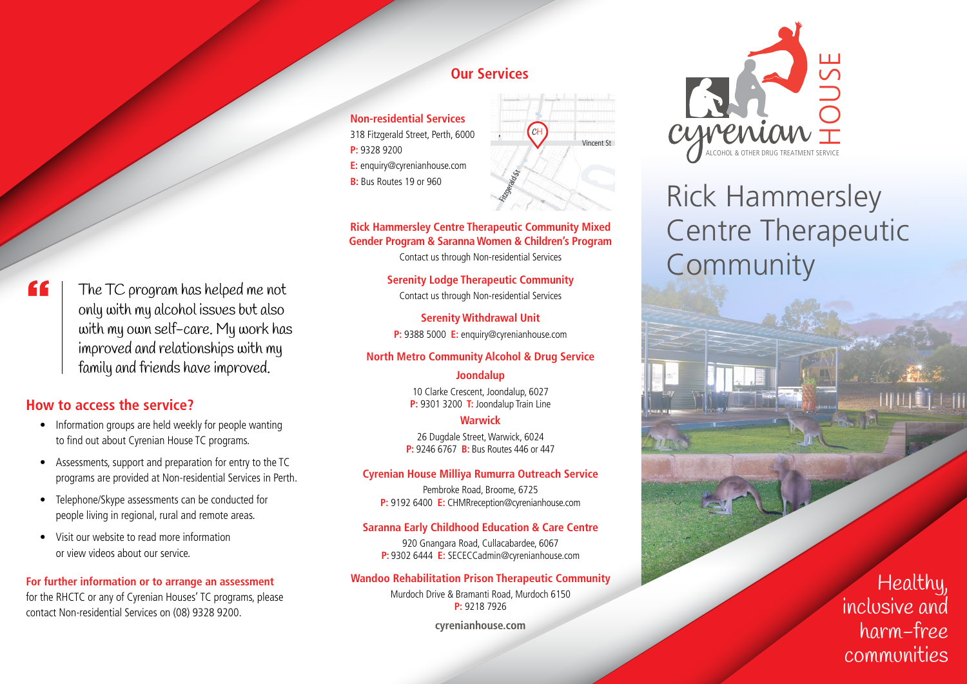# "

The TC program has helped me not only with my alcohol issues but also with my own self-care. My work has improved and relationships with my family and friends have improved.

### **How to access the service?**

- Information groups are held weekly for people wanting to find out about Cyrenian House TC programs.
- Assessments, support and preparation for entry to the TC programs are provided at Non-residential Services in Perth.
- Telephone/Skype assessments can be conducted for people living in regional, rural and remote areas.
- Visit our website to read more information or view videos about our service.

#### **For further information or to arrange an assessment**

for the RHCTC or any of Cyrenian Houses' TC programs, please contact Non-residential Services on (08) 9328 9200.

### **Our Services**

**Non-residential Services** 318 Fitzgerald Street, Perth, 6000 **P:** 9328 9200 **E:** enquiry@cyrenianhouse.com **B:** Bus Routes 19 or 960



#### **Rick Hammersley Centre Therapeutic Community Mixed Gender Program & Saranna Women & Children's Program**

Contact us through Non-residential Services

**Serenity Lodge Therapeutic Community** Contact us through Non-residential Services

**Serenity Withdrawal Unit P:** 9388 5000 **E:** enquiry@cyrenianhouse.com

#### **North Metro Community Alcohol & Drug Service**

#### **Joondalup**

10 Clarke Crescent, Joondalup, 6027 **P:** 9301 3200 **T:** Joondalup Train Line

#### **Warwick**

26 Dugdale Street, Warwick, 6024 **P:** 9246 6767 **B:** Bus Routes 446 or 447

#### **Cyrenian House Milliya Rumurra Outreach Service**

Pembroke Road, Broome, 6725 **P:** 9192 6400 **E:** CHMRreception@cyrenianhouse.com

#### **Saranna Early Childhood Education & Care Centre**

920 Gnangara Road, Cullacabardee, 6067 **P:** 9302 6444 **E:** SECECCadmin@cyrenianhouse.com

#### **Wandoo Rehabilitation Prison Therapeutic Community**

Murdoch Drive & Bramanti Road, Murdoch 6150 **P:** 9218 7926

**cyrenianhouse.com**



# Rick Hammersley Centre Therapeutic Community

# Healthy, inclusive and harm-free communities